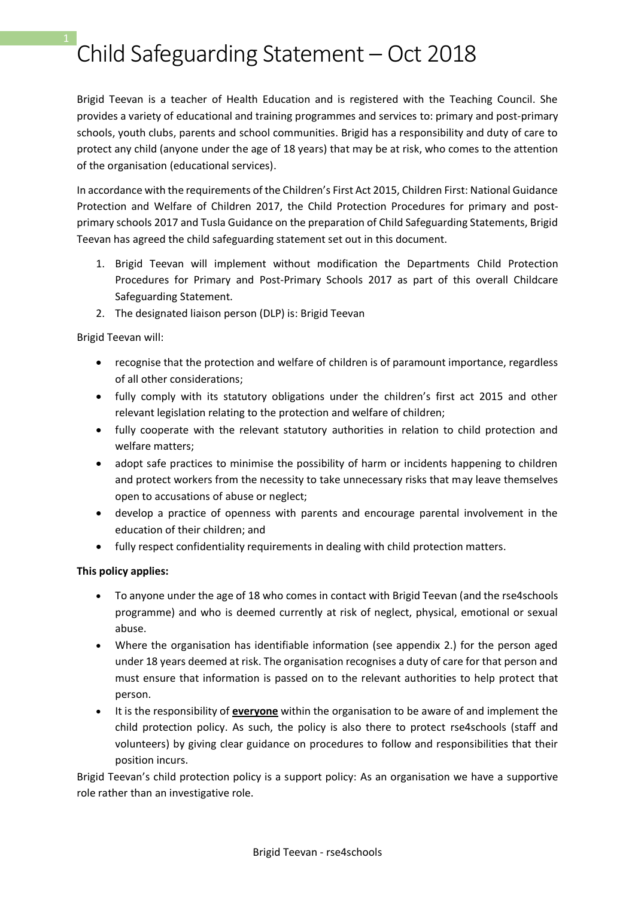# Child Safeguarding Statement – Oct 2018 1

Brigid Teevan is a teacher of Health Education and is registered with the Teaching Council. She provides a variety of educational and training programmes and services to: primary and post-primary schools, youth clubs, parents and school communities. Brigid has a responsibility and duty of care to protect any child (anyone under the age of 18 years) that may be at risk, who comes to the attention of the organisation (educational services).

In accordance with the requirements of the Children's First Act 2015, Children First: National Guidance Protection and Welfare of Children 2017, the Child Protection Procedures for primary and postprimary schools 2017 and Tusla Guidance on the preparation of Child Safeguarding Statements, Brigid Teevan has agreed the child safeguarding statement set out in this document.

- 1. Brigid Teevan will implement without modification the Departments Child Protection Procedures for Primary and Post-Primary Schools 2017 as part of this overall Childcare Safeguarding Statement.
- 2. The designated liaison person (DLP) is: Brigid Teevan

Brigid Teevan will:

- recognise that the protection and welfare of children is of paramount importance, regardless of all other considerations;
- fully comply with its statutory obligations under the children's first act 2015 and other relevant legislation relating to the protection and welfare of children;
- fully cooperate with the relevant statutory authorities in relation to child protection and welfare matters;
- adopt safe practices to minimise the possibility of harm or incidents happening to children and protect workers from the necessity to take unnecessary risks that may leave themselves open to accusations of abuse or neglect;
- develop a practice of openness with parents and encourage parental involvement in the education of their children; and
- fully respect confidentiality requirements in dealing with child protection matters.

### **This policy applies:**

- To anyone under the age of 18 who comes in contact with Brigid Teevan (and the rse4schools programme) and who is deemed currently at risk of neglect, physical, emotional or sexual abuse.
- Where the organisation has identifiable information (see appendix 2.) for the person aged under 18 years deemed at risk. The organisation recognises a duty of care for that person and must ensure that information is passed on to the relevant authorities to help protect that person.
- It is the responsibility of **everyone** within the organisation to be aware of and implement the child protection policy. As such, the policy is also there to protect rse4schools (staff and volunteers) by giving clear guidance on procedures to follow and responsibilities that their position incurs.

Brigid Teevan's child protection policy is a support policy: As an organisation we have a supportive role rather than an investigative role.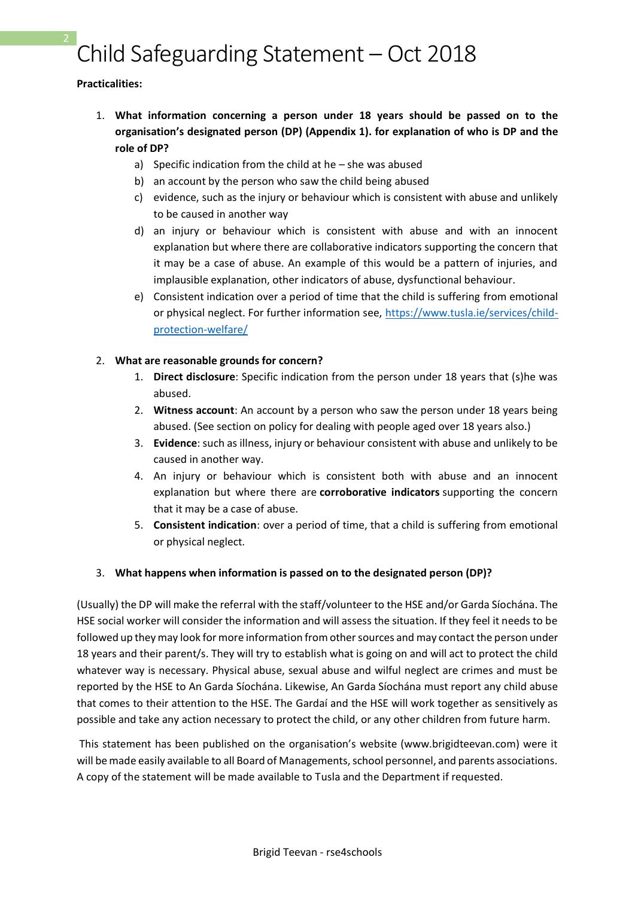# Child Safeguarding Statement – Oct 2018 2

#### **Practicalities:**

- 1. **What information concerning a person under 18 years should be passed on to the organisation's designated person (DP) (Appendix 1). for explanation of who is DP and the role of DP?**
	- a) Specific indication from the child at he she was abused
	- b) an account by the person who saw the child being abused
	- c) evidence, such as the injury or behaviour which is consistent with abuse and unlikely to be caused in another way
	- d) an injury or behaviour which is consistent with abuse and with an innocent explanation but where there are collaborative indicators supporting the concern that it may be a case of abuse. An example of this would be a pattern of injuries, and implausible explanation, other indicators of abuse, dysfunctional behaviour.
	- e) Consistent indication over a period of time that the child is suffering from emotional or physical neglect. For further information see, [https://www.tusla.ie/services/child](https://www.tusla.ie/services/child-protection-welfare/)[protection-welfare/](https://www.tusla.ie/services/child-protection-welfare/)

### 2. **What are reasonable grounds for concern?**

- 1. **Direct disclosure**: Specific indication from the person under 18 years that (s)he was abused.
- 2. **Witness account**: An account by a person who saw the person under 18 years being abused. (See section on policy for dealing with people aged over 18 years also.)
- 3. **Evidence**: such as illness, injury or behaviour consistent with abuse and unlikely to be caused in another way.
- 4. An injury or behaviour which is consistent both with abuse and an innocent explanation but where there are **corroborative indicators** supporting the concern that it may be a case of abuse.
- 5. **Consistent indication**: over a period of time, that a child is suffering from emotional or physical neglect.

### 3. **What happens when information is passed on to the designated person (DP)?**

(Usually) the DP will make the referral with the staff/volunteer to the HSE and/or Garda Síochána. The HSE social worker will consider the information and will assess the situation. If they feel it needs to be followed up they may look for more information from other sources and may contact the person under 18 years and their parent/s. They will try to establish what is going on and will act to protect the child whatever way is necessary. Physical abuse, sexual abuse and wilful neglect are crimes and must be reported by the HSE to An Garda Síochána. Likewise, An Garda Síochána must report any child abuse that comes to their attention to the HSE. The Gardaí and the HSE will work together as sensitively as possible and take any action necessary to protect the child, or any other children from future harm.

This statement has been published on the organisation's website (www.brigidteevan.com) were it will be made easily available to all Board of Managements, school personnel, and parents associations. A copy of the statement will be made available to Tusla and the Department if requested.